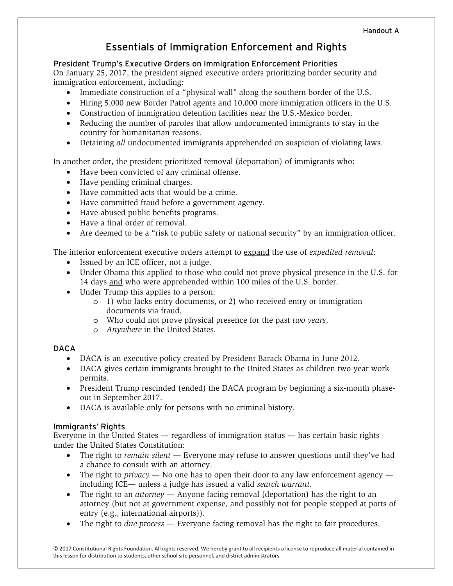# Essentials of Immigration Enforcement and Rights

### President Trump's Executive Orders on Immigration Enforcement Priorities

On January 25, 2017, the president signed executive orders prioritizing border security and immigration enforcement, including:

- Immediate construction of a "physical wall" along the southern border of the U.S.
- Hiring 5,000 new Border Patrol agents and 10,000 more immigration officers in the U.S.
- Construction of immigration detention facilities near the U.S.-Mexico border.
- Reducing the number of paroles that allow undocumented immigrants to stay in the country for humanitarian reasons.
- Detaining *all* undocumented immigrants apprehended on suspicion of violating laws.

In another order, the president prioritized removal (deportation) of immigrants who:

- Have been convicted of any criminal offense.
- Have pending criminal charges.
- Have committed acts that would be a crime.
- Have committed fraud before a government agency.
- Have abused public benefits programs.
- Have a final order of removal.
- Are deemed to be a "risk to public safety or national security" by an immigration officer.

The interior enforcement executive orders attempt to expand the use of *expedited removal*:

- Issued by an ICE officer, not a judge.
- Under Obama this applied to those who could not prove physical presence in the U.S. for 14 days and who were apprehended within 100 miles of the U.S. border.
- Under Trump this applies to a person:
	- o 1) who lacks entry documents, or 2) who received entry or immigration documents via fraud,
	- o Who could not prove physical presence for the past *two years*,
	- o *Anywhere* in the United States.

## DACA

- DACA is an executive policy created by President Barack Obama in June 2012.
- DACA gives certain immigrants brought to the United States as children two-year work permits.
- President Trump rescinded (ended) the DACA program by beginning a six-month phaseout in September 2017.
- DACA is available only for persons with no criminal history.

#### Immigrants' Rights

Everyone in the United States — regardless of immigration status — has certain basic rights under the United States Constitution:

- The right to *remain silent*  Everyone may refuse to answer questions until they've had a chance to consult with an attorney.
- The right to *privacy* No one has to open their door to any law enforcement agency including ICE— unless a judge has issued a valid *search warrant*.
- The right to an *attorney* Anyone facing removal (deportation) has the right to an attorney (but not at government expense, and possibly not for people stopped at ports of entry (e.g., international airports)).
- The right to *due process* Everyone facing removal has the right to fair procedures.

© 2017 Constitutional Rights Foundation. All rights reserved. We hereby grant to all recipients a license to reproduce all material contained in this lesson for distribution to students, other school site personnel, and district administrators.